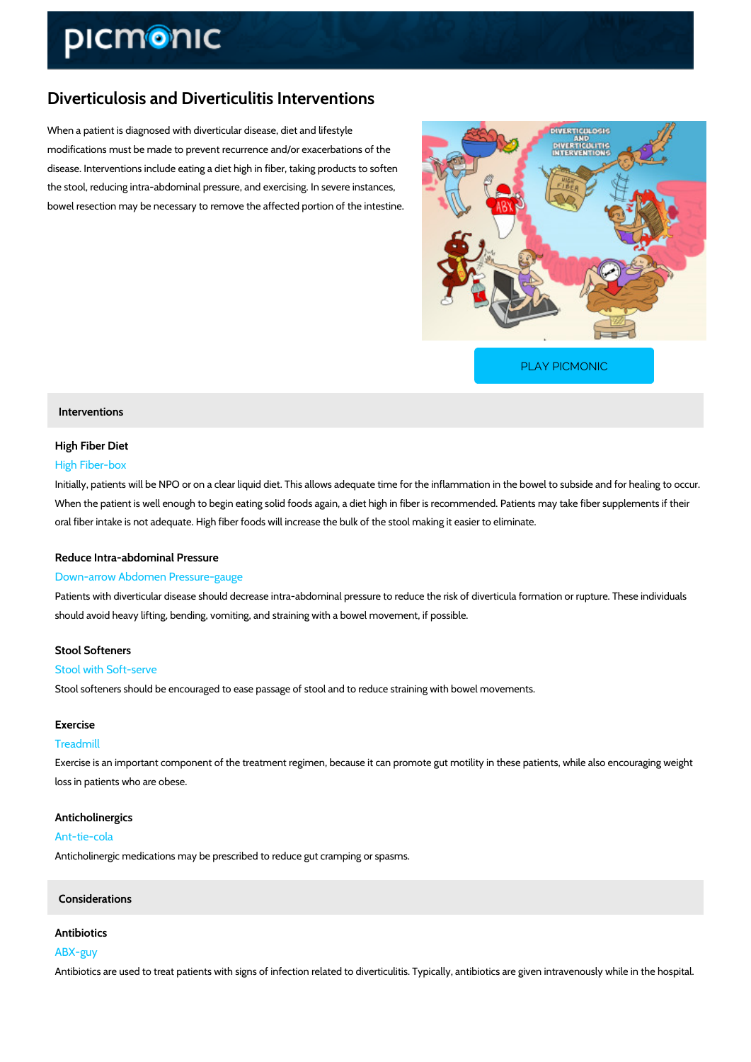# Diverticulosis and Diverticulitis Interventions

When a patient is diagnosed with diverticular disease, diet and lifestyle modifications must be made to prevent recurrence and/or exacerbations of the disease. Interventions include eating a diet high in fiber, taking products to soften the stool, reducing intra-abdominal pressure, and exercising. In severe instances, bowel resection may be necessary to remove the affected portion of the intestine.

[PLAY PICMONIC](https://www.picmonic.com/learn/diverticulosis-and-diverticulitis-interventions_1148?utm_source=downloadable_content&utm_medium=distributedcontent&utm_campaign=pathways_pdf&utm_content=Diverticulosis and Diverticulitis Interventions&utm_ad_group=leads&utm_market=all)

#### Interventions

# High Fiber Diet High Fiber-box

Initially, patients will be NPO or on a clear liquid diet. This allows adequate time for the inflam When the patient is well enough to begin eating solid foods again, a diet high in fiber is reco oral fiber intake is not adequate. High fiber foods will increase the bulk of the stool making i

# Reduce Intra-abdominal Pressure

#### Down-arrow Abdomen Pressure-gauge

Patients with diverticular disease should decrease intra-abdominal pressure to reduce the risl should avoid heavy lifting, bending, vomiting, and straining with a bowel movement, if possible.

# Stool Softeners

#### Stool with Soft-serve

Stool softeners should be encouraged to ease passage of stool and to reduce straining with b

#### Exercise

#### Treadmill

Exercise is an important component of the treatment regimen, because it can promote gut mot loss in patients who are obese.

### Anticholinergics

## Ant-tie-cola

Anticholinergic medications may be prescribed to reduce gut cramping or spasms.

#### Considerations

Antibiotics ABX-guy Antibiotics are used to treat patients with signs of infection related to diverticulitis. Typically